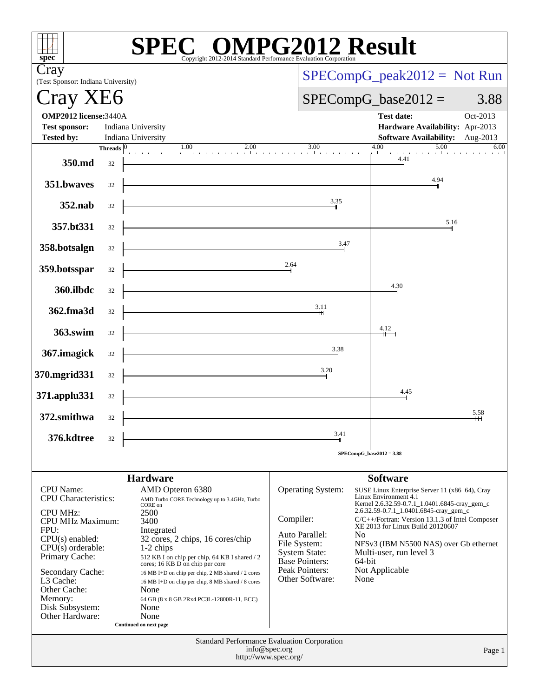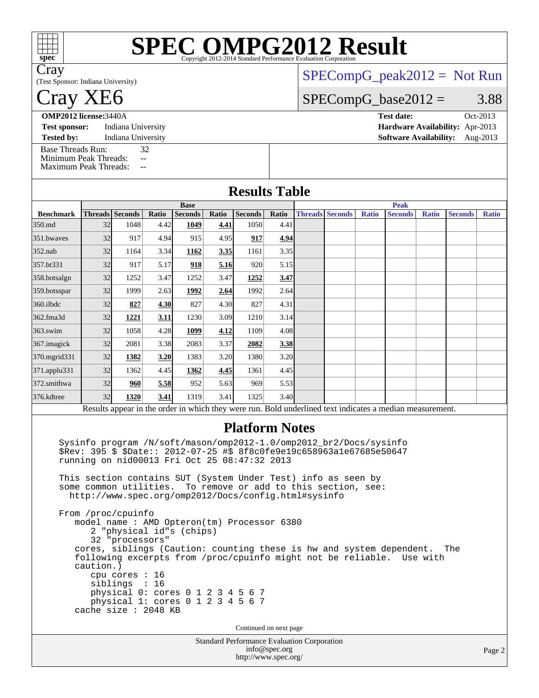| spec <sup>®</sup>                                                                                                      |                                              |                                             |                                                     |                        |               | SPECOMPG2012 Result                                                                                                                                                                                                                                                                                                                                                                                                                     |               |                                                                                                               |                        |              |                                                                                                                                                   |              |                |              |
|------------------------------------------------------------------------------------------------------------------------|----------------------------------------------|---------------------------------------------|-----------------------------------------------------|------------------------|---------------|-----------------------------------------------------------------------------------------------------------------------------------------------------------------------------------------------------------------------------------------------------------------------------------------------------------------------------------------------------------------------------------------------------------------------------------------|---------------|---------------------------------------------------------------------------------------------------------------|------------------------|--------------|---------------------------------------------------------------------------------------------------------------------------------------------------|--------------|----------------|--------------|
| Cray<br>(Test Sponsor: Indiana University)                                                                             |                                              |                                             |                                                     |                        |               |                                                                                                                                                                                                                                                                                                                                                                                                                                         |               |                                                                                                               |                        |              | $SPECompG_peak2012 = Not Run$                                                                                                                     |              |                |              |
| Cray XE <sub>6</sub>                                                                                                   |                                              |                                             |                                                     |                        |               |                                                                                                                                                                                                                                                                                                                                                                                                                                         |               | $SPECompG_base2012 =$                                                                                         |                        |              |                                                                                                                                                   |              |                | 3.88         |
| <b>OMP2012 license: 3440A</b><br>Indiana University<br><b>Test sponsor:</b><br>Indiana University<br><b>Tested by:</b> |                                              |                                             |                                                     |                        |               |                                                                                                                                                                                                                                                                                                                                                                                                                                         |               | Oct-2013<br><b>Test date:</b><br>Hardware Availability: Apr-2013<br><b>Software Availability:</b><br>Aug-2013 |                        |              |                                                                                                                                                   |              |                |              |
| <b>Base Threads Run:</b><br>Minimum Peak Threads:<br><b>Maximum Peak Threads:</b>                                      |                                              | $\overline{a}$                              | 32<br>$\mathord{\hspace{1pt}\text{--}\hspace{1pt}}$ |                        |               |                                                                                                                                                                                                                                                                                                                                                                                                                                         |               |                                                                                                               |                        |              |                                                                                                                                                   |              |                |              |
| <b>Results Table</b>                                                                                                   |                                              |                                             |                                                     |                        |               |                                                                                                                                                                                                                                                                                                                                                                                                                                         |               |                                                                                                               |                        |              |                                                                                                                                                   |              |                |              |
|                                                                                                                        |                                              |                                             |                                                     | <b>Base</b>            |               |                                                                                                                                                                                                                                                                                                                                                                                                                                         |               |                                                                                                               |                        |              | <b>Peak</b>                                                                                                                                       |              |                |              |
| <b>Benchmark</b><br>350.md                                                                                             | <b>Threads</b> Seconds<br>32                 | 1048                                        | Ratio<br>4.42                                       | <b>Seconds</b><br>1049 | Ratio<br>4.41 | <b>Seconds</b><br>1050                                                                                                                                                                                                                                                                                                                                                                                                                  | Ratio<br>4.41 |                                                                                                               | <b>Threads Seconds</b> | <b>Ratio</b> | <b>Seconds</b>                                                                                                                                    | <b>Ratio</b> | <b>Seconds</b> | <b>Ratio</b> |
| 351.bwaves                                                                                                             | 32                                           | 917                                         | 4.94                                                | 915                    | 4.95          | 917                                                                                                                                                                                                                                                                                                                                                                                                                                     | 4.94          |                                                                                                               |                        |              |                                                                                                                                                   |              |                |              |
|                                                                                                                        |                                              |                                             |                                                     |                        |               |                                                                                                                                                                                                                                                                                                                                                                                                                                         |               |                                                                                                               |                        |              |                                                                                                                                                   |              |                |              |
| 352.nab                                                                                                                | 32                                           | 1164                                        | 3.34                                                | 1162                   | 3.35          | 1161                                                                                                                                                                                                                                                                                                                                                                                                                                    | 3.35          |                                                                                                               |                        |              |                                                                                                                                                   |              |                |              |
| 357.bt331                                                                                                              | 32                                           | 917                                         | 5.17                                                | 918                    | 5.16          | 920                                                                                                                                                                                                                                                                                                                                                                                                                                     | 5.15          |                                                                                                               |                        |              |                                                                                                                                                   |              |                |              |
| 358.botsalgn                                                                                                           | 32                                           | 1252                                        | 3.47                                                | 1252                   | 3.47          | 1252                                                                                                                                                                                                                                                                                                                                                                                                                                    | 3.47          |                                                                                                               |                        |              |                                                                                                                                                   |              |                |              |
| 359.botsspar                                                                                                           | 32                                           | 1999                                        | 2.63                                                | 1992                   | 2.64          | 1992                                                                                                                                                                                                                                                                                                                                                                                                                                    | 2.64          |                                                                                                               |                        |              |                                                                                                                                                   |              |                |              |
| 360.ilbdc                                                                                                              | 32                                           | 827                                         | 4.30                                                | 827                    | 4.30          | 827                                                                                                                                                                                                                                                                                                                                                                                                                                     | 4.31          |                                                                                                               |                        |              |                                                                                                                                                   |              |                |              |
| 362.fma3d                                                                                                              | 32                                           | 1221                                        | <u>3.11</u>                                         | 1230                   | 3.09          | 1210                                                                                                                                                                                                                                                                                                                                                                                                                                    | 3.14          |                                                                                                               |                        |              |                                                                                                                                                   |              |                |              |
| 363.swim                                                                                                               | 32                                           | 1058                                        | 4.28                                                | 1099                   | 4.12          | 1109                                                                                                                                                                                                                                                                                                                                                                                                                                    | 4.08          |                                                                                                               |                        |              |                                                                                                                                                   |              |                |              |
| 367.imagick                                                                                                            | 32                                           | 2081                                        | 3.38                                                | 2083                   | 3.37          | 2082                                                                                                                                                                                                                                                                                                                                                                                                                                    | 3.38          |                                                                                                               |                        |              |                                                                                                                                                   |              |                |              |
| 370.mgrid331                                                                                                           | 32                                           | 1382                                        | 3.20                                                | 1383                   | 3.20          | 1380                                                                                                                                                                                                                                                                                                                                                                                                                                    | 3.20          |                                                                                                               |                        |              |                                                                                                                                                   |              |                |              |
| 371.applu331                                                                                                           | 32                                           | 1362                                        | 4.45                                                | 1362                   | 4.45          | 1361                                                                                                                                                                                                                                                                                                                                                                                                                                    | 4.45          |                                                                                                               |                        |              |                                                                                                                                                   |              |                |              |
| 372.smithwa                                                                                                            | 32                                           | 960                                         | 5.58                                                | 952                    | 5.63          | 969                                                                                                                                                                                                                                                                                                                                                                                                                                     | 5.53          |                                                                                                               |                        |              |                                                                                                                                                   |              |                |              |
| 376.kdtree                                                                                                             | 32                                           | 1320                                        | 3.41                                                | 1319                   | 3.41          | 1325                                                                                                                                                                                                                                                                                                                                                                                                                                    | 3.40          |                                                                                                               |                        |              |                                                                                                                                                   |              |                |              |
|                                                                                                                        |                                              |                                             |                                                     |                        |               |                                                                                                                                                                                                                                                                                                                                                                                                                                         |               |                                                                                                               |                        |              | Results appear in the order in which they were run. Bold underlined text indicates a median measurement.                                          |              |                |              |
|                                                                                                                        | some common utilities.<br>From /proc/cpuinfo | 2 "physical id"s (chips)<br>32 "processors" |                                                     |                        |               | <b>Platform Notes</b><br>Sysinfo program /N/soft/mason/omp2012-1.0/omp2012_br2/Docs/sysinfo<br>\$Rev: 395 \$ \$Date:: 2012-07-25 #\$ 8f8c0fe9e19c658963a1e67685e50647<br>running on nid00013 Fri Oct 25 08:47:32 2013<br>This section contains SUT (System Under Test) info as seen by<br>To remove or add to this section, see:<br>http://www.spec.org/omp2012/Docs/config.html#sysinfo<br>model name : AMD Opteron(tm) Processor 6380 |               |                                                                                                               |                        |              | cores, siblings (Caution: counting these is hw and system dependent. The<br>following excerpts from /proc/cpuinfo might not be reliable. Use with |              |                |              |
|                                                                                                                        | caution.)<br>cache size : 2048 KB            | cpu cores : 16<br>siblings : 16             |                                                     |                        |               | physical 0: cores 0 1 2 3 4 5 6 7<br>physical 1: cores 0 1 2 3 4 5 6 7                                                                                                                                                                                                                                                                                                                                                                  |               |                                                                                                               |                        |              |                                                                                                                                                   |              |                |              |
|                                                                                                                        |                                              |                                             |                                                     |                        |               | Continued on next page<br>Standard Performance Evaluation Corporation                                                                                                                                                                                                                                                                                                                                                                   |               |                                                                                                               |                        |              |                                                                                                                                                   |              |                |              |
|                                                                                                                        |                                              |                                             |                                                     |                        |               |                                                                                                                                                                                                                                                                                                                                                                                                                                         | info@spec.org |                                                                                                               |                        |              |                                                                                                                                                   |              |                | Page:        |

<http://www.spec.org/>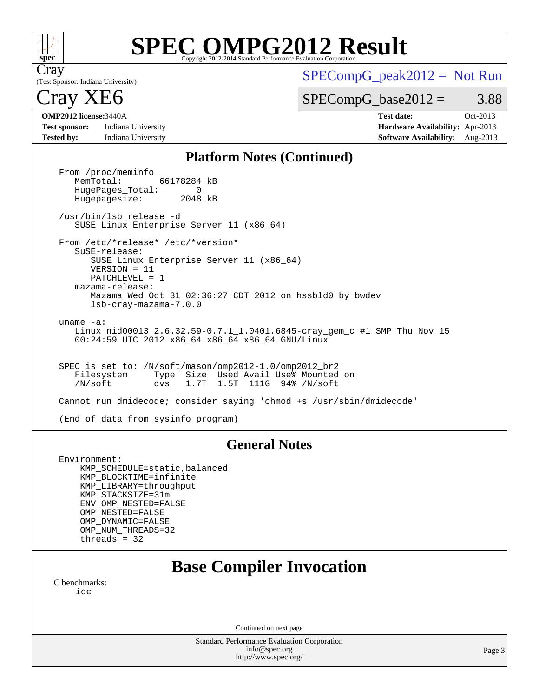

# **[SPEC OMPG2012 Result](http://www.spec.org/auto/omp2012/Docs/result-fields.html#SPECOMPG2012Result)**

(Test Sponsor: Indiana University) Cray

 $SPECompG_peak2012 = Not Run$  $SPECompG_peak2012 = Not Run$ 

 $SPECompG_base2012 = 3.88$  $SPECompG_base2012 = 3.88$ 

## ray XE6

**[Test sponsor:](http://www.spec.org/auto/omp2012/Docs/result-fields.html#Testsponsor)** Indiana University **[Hardware Availability:](http://www.spec.org/auto/omp2012/Docs/result-fields.html#HardwareAvailability)** Apr-2013 **[Tested by:](http://www.spec.org/auto/omp2012/Docs/result-fields.html#Testedby)** Indiana University **[Software Availability:](http://www.spec.org/auto/omp2012/Docs/result-fields.html#SoftwareAvailability)** Aug-2013

**[OMP2012 license:](http://www.spec.org/auto/omp2012/Docs/result-fields.html#OMP2012license)**3440A **[Test date:](http://www.spec.org/auto/omp2012/Docs/result-fields.html#Testdate)** Oct-2013

#### **[Platform Notes \(Continued\)](http://www.spec.org/auto/omp2012/Docs/result-fields.html#PlatformNotes)**

From /proc/meminfo<br>MemTotal: 66178284 kB HugePages\_Total: 0<br>Hugepagesize: 2048 kB Hugepagesize: /usr/bin/lsb\_release -d SUSE Linux Enterprise Server 11 (x86\_64) From /etc/\*release\* /etc/\*version\* SuSE-release: SUSE Linux Enterprise Server 11 (x86\_64) VERSION = 11 PATCHLEVEL = 1 mazama-release: Mazama Wed Oct 31 02:36:27 CDT 2012 on hssbld0 by bwdev lsb-cray-mazama-7.0.0 uname -a: Linux nid00013 2.6.32.59-0.7.1\_1.0401.6845-cray\_gem\_c #1 SMP Thu Nov 15 00:24:59 UTC 2012 x86\_64 x86\_64 x86\_64 GNU/Linux SPEC is set to: /N/soft/mason/omp2012-1.0/omp2012\_br2 Filesystem Type Size Used Avail Use% Mounted on /N/soft dvs 1.7T 1.5T 111G 94% /N/soft Cannot run dmidecode; consider saying 'chmod +s /usr/sbin/dmidecode' (End of data from sysinfo program)

#### **[General Notes](http://www.spec.org/auto/omp2012/Docs/result-fields.html#GeneralNotes)**

 Environment: KMP\_SCHEDULE=static,balanced KMP\_BLOCKTIME=infinite KMP\_LIBRARY=throughput KMP\_STACKSIZE=31m ENV\_OMP\_NESTED=FALSE OMP\_NESTED=FALSE OMP\_DYNAMIC=FALSE OMP\_NUM\_THREADS=32 threads = 32

## **[Base Compiler Invocation](http://www.spec.org/auto/omp2012/Docs/result-fields.html#BaseCompilerInvocation)**

[C benchmarks](http://www.spec.org/auto/omp2012/Docs/result-fields.html#Cbenchmarks): [icc](http://www.spec.org/omp2012/results/res2013q4/omp2012-20131111-00041.flags.html#user_CCbase_intel_icc_a87c68a857bc5ec5362391a49d3a37a6)

Continued on next page

Standard Performance Evaluation Corporation [info@spec.org](mailto:info@spec.org) <http://www.spec.org/>